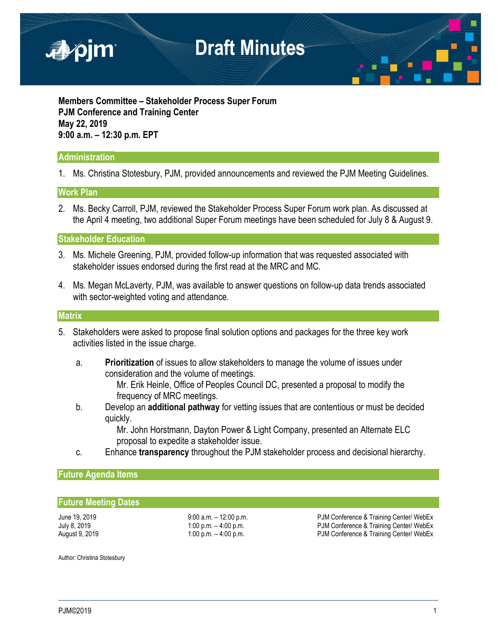

**Members Committee – Stakeholder Process Super Forum PJM Conference and Training Center May 22, 2019 9:00 a.m. – 12:30 p.m. EPT**

### **Administration**

1. Ms. Christina Stotesbury, PJM, provided announcements and reviewed the PJM Meeting Guidelines.

### **Work Plan**

2. Ms. Becky Carroll, PJM, reviewed the Stakeholder Process Super Forum work plan. As discussed at the April 4 meeting, two additional Super Forum meetings have been scheduled for July 8 & August 9.

**Stakeholder Education**

- 3. Ms. Michele Greening, PJM, provided follow-up information that was requested associated with stakeholder issues endorsed during the first read at the MRC and MC.
- 4. Ms. Megan McLaverty, PJM, was available to answer questions on follow-up data trends associated with sector-weighted voting and attendance.

#### **Matrix**

- 5. Stakeholders were asked to propose final solution options and packages for the three key work activities listed in the issue charge.
	- a. **Prioritization** of issues to allow stakeholders to manage the volume of issues under consideration and the volume of meetings.

Mr. Erik Heinle, Office of Peoples Council DC, presented a proposal to modify the frequency of MRC meetings.

b. Develop an **additional pathway** for vetting issues that are contentious or must be decided quickly.

> Mr. John Horstmann, Dayton Power & Light Company, presented an Alternate ELC proposal to expedite a stakeholder issue.

c. Enhance **transparency** throughout the PJM stakeholder process and decisional hierarchy.

#### **Future Agenda Items**

#### **Future Meeting Dates**

June 19, 2019 **19:00 a.m.** – 12:00 p.m. **June 19, 2019** a.m. PJM Conference & Training Center/ WebEx<br>July 8, 2019 **1:00 p.m. – 4:00 p.m.** PJM Conference & Training Center/ WebEx July 8, 2019 **1:00 p.m. – 4:00 p.m.** – 4:00 p.m.<br>August 9, 2019 **1:00 p.m. – 4:00 p.m.** PJM Conference & Training Center/ WebEx PJM Conference & Training Center/ WebEx

Author: Christina Stotesbury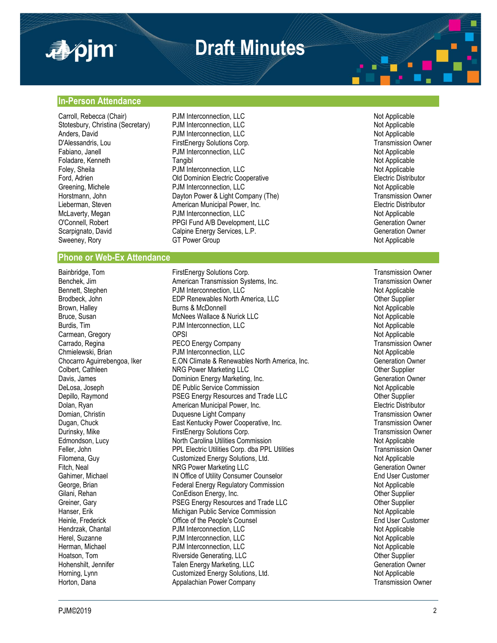

# **Draft Minutes**

#### **In-Person Attendance**

Carroll, Rebecca (Chair) **PJM Interconnection, LLC** Not Applicable Not Applicable Foladare, Kenneth Tangibl

#### **Phone or Web-Ex Attendance**

Stotesbury, Christina (Secretary) and PJM Interconnection, LLC<br>
Anders, David Mot Applicable POM Interconnection, LLC Anders, David **Anders, David Community Community** PJM Interconnection, LLC **Community Community Community Community** Press, Community Press, Community Press, Community Press, Community Press, Community Press, Community Pre D'Alessandris, Lou **FirstEnergy Solutions Corp.**<br>
Fabiano, Janell **Fabiano, Corp.** PJM Interconnection, LLC **CONTENSISTS** Corp. The Corp of Applicable PJM Interconnection, LLC<br>Tangibl Not Applicable<br>Tangibl Foley, Sheila **France Community Community Community** PJM Interconnection, LLC Not Applicable Not Applicable<br>Pord. Adrien **Property Community Community Community** Cld Dominion Electric Cooperative **France Community Communit** Old Dominion Electric Cooperative Greening, Michele **State Community Community** PJM Interconnection, LLC **Not Applicable** Mot Applicable<br> **Community Community Community Community Community Community Community Community Community Community Community** Dayton Power & Light Company (The) Lieberman, Steven **American Municipal Power, Inc.** The Steven American Municipal Power, Inc. Electric Distributor<br>
McLaverty, Megan **American Propertion**, ELC Communication, ELC PJM Interconnection, LLC Not Applicable O'Connell, Robert **PPGI Fund A/B Development, LLC** Generation Owner Scarpignato, David Calpine Energy Services, L.P. Generation Owner Generation Owner Sweeney, Rory **GT Power Group** GT Power Group Not Applicable

Bainbridge, Tom **FirstEnergy Solutions Corp.** Transmission Owner<br>Benchek. Jim **FirstEnergy Solutions Corp.** Transmission Owner Benchek. Jim Transmission Owner Benchek, Jim **American Transmission Systems, Inc.** Transmission C<br>Bennett, Stephen **Transmission C** PJM Interconnection, LLC PJM Interconnection, LLC Brodbeck, John **EDP Renewables North America, LLC** Christen Cher Supplier<br>Brown, Halley **EDP Renewables North America, LLC** Christen Christen Mot Applicable Brown, Halley **Burns & McDonnell** Burns & McDonnell Brown, Halley Not Applicable<br>Bruce, Susan **Brown Brown McNees Wallace & Nurick LLC** Not Applicable McNees Wallace & Nurick LLC<br>
PJM Interconnection, LLC<br>
PJM Interconnection, LLC Burdis, Tim **Burdis, The Application** PJM Interconnection, LLC Carmean, Gregory **Carmean, Carmean, Carmean, Carmean, Carmean, Carmean, Carmean, Carmean, Carmean, Carmean, Carmean, Carmean, Carmean, Carmean, Carmean, Carmean, Carmean, Carmean, Carmean, Carmean, Carmean, Carmean, Carmea** PECO Energy Company Chmielewski, Brian **Edge Christen Burger PJM Interconnection**, LLC<br>Chocarro Aguirrebengoa, Iker **ELON Climate & Renewables North America**, Inc. Christen Beneration Owner Chocarro Aguirrebengoa, Iker E.ON Climate & Renewables North America, Inc. Schoen Generation Owners Colbert, Cathleen Colbert Supplier NRG Power Marketing LLC<br>
Dominion Energy Marketing, Inc. 
Supplier<br>
Other Supplier Control of Generation Owner Davis, James **Davis, Inc. Energy Marketing, Inc.** Commission Declease of the Ceneration Owner Commission Culture<br>Declease Declease Declease Declease Declease Commission Culture of the Commission Culture of the Mot Applicab DE Public Service Commission Depillo, Raymond **PSEG Energy Resources and Trade LLC Communist Communist Communist Communist Communist Communist Communist Communist Communist Communist Communist Communist Communist Communist Communist Communist Commun** Dolan, Ryan American Municipal Power, Inc. The Collectric Distributor Electric Distributor Domian, Christin Duquesne Light Company Transmission Owner Dugan, Chuck East Kentucky Power Cooperative, Inc. Durinsky, Mike FirstEnergy Solutions Corp.<br>Edmondson, Lucy FirstEnergy Solutions Corp. The Commission Corp. Transmission Owner North Carolina Utilities Commission Not Applicable Feller, John **PPL Electric Utilities Corp.** dba PPL Utilities Transmission Owner Filomena, Guy **Customized Energy Solutions, Ltd.** Not Applicable Not Applicable Fitch, Neal Generation Cover Narketing LLC Generation Owner Generation Owner Gahimer, Michael **IN Office of Utility Consumer Counselor International Consumer Counselor** End User Customer George, Brian **Federal Energy Regulatory Commission** Not Applicable Not Applicable Gilani, Rehan ConEdison Energy, Inc. Other Supplier Greiner, Gary **Exercise State Heart Convertse Convertse And Trade LLC** Christener, Carl Christener Supplier<br>Princes and Trade Commission Christener State Commission<br>Not Applicable Hanser, Erik Michigan Public Service Commission<br>Heinle. Frederick Not Applicable (Office of the People's Counsel Not Applicable Not Applicable Not Applicable Office of the People's Counsel Hendrzak, Chantal **Example 2018** PJM Interconnection, LLC Not Applicable Not Applicable Herel, Suzanne **Not Applicable** PJM Interconnection, LLC Not Applicable Not Applicable Herman, Michael **PJM** Interconnection, LLC Not Applicable Not Applicable Hoatson, Tom **Riverside Generating, LLC Container Supplier** Chemistry of the Supplier Hohenshilt, Jennifer Talen Energy Marketing, LLC Generation Owner Generation Owner Horning, Lynn **Not Applicable** Customized Energy Solutions, Ltd. Not Applicable Not Applicable Horton, Dana **Appalachian Power Company Transmission Owner** Transmission Owner